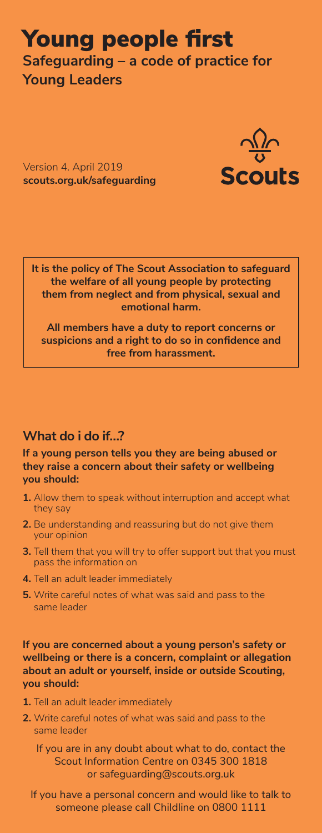## Young people first **Safeguarding – a code of practice for Young Leaders**

Version 4. April 2019 **scouts.org.uk/safeguarding**



**It is the policy of The Scout Association to safeguard the welfare of all young people by protecting them from neglect and from physical, sexual and emotional harm.** 

**All members have a duty to report concerns or suspicions and a right to do so in confidence and free from harassment.**

## **What do i do if…?**

**If a young person tells you they are being abused or they raise a concern about their safety or wellbeing you should:**

- **1.** Allow them to speak without interruption and accept what they say
- **2.** Be understanding and reassuring but do not give them your opinion
- **3.** Tell them that you will try to offer support but that you must pass the information on
- **4.** Tell an adult leader immediately
- **5.** Write careful notes of what was said and pass to the same leader

**If you are concerned about a young person's safety or wellbeing or there is a concern, complaint or allegation about an adult or yourself, inside or outside Scouting, you should:**

- **1.** Tell an adult leader immediately
- **2.** Write careful notes of what was said and pass to the same leader

If you are in any doubt about what to do, contact the Scout Information Centre on 0345 300 1818 or safeguarding@scouts.org.uk

If you have a personal concern and would like to talk to someone please call Childline on 0800 1111